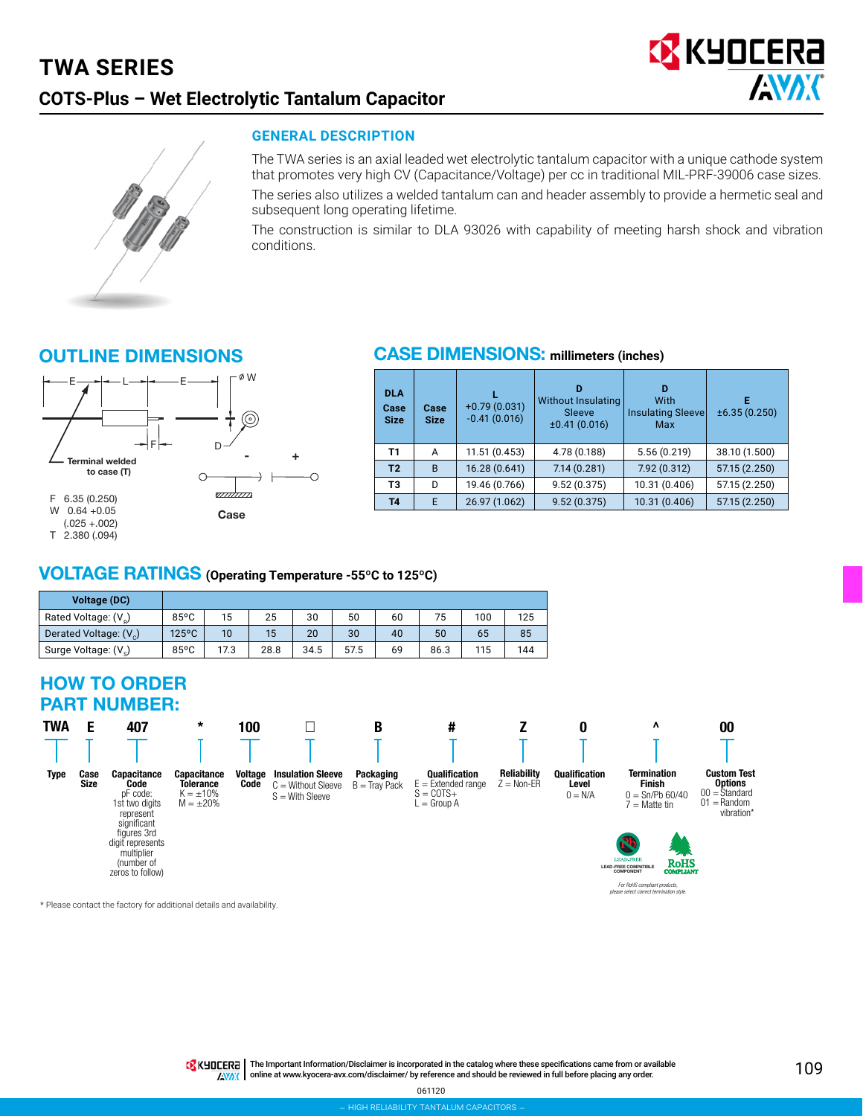### **TWA SERIES COTS-Plus – Wet Electrolytic Tantalum Capacitor**





#### **GENERAL DESCRIPTION**

The TWA series is an axial leaded wet electrolytic tantalum capacitor with a unique cathode system that promotes very high CV (Capacitance/Voltage) per cc in traditional MIL-PRF-39006 case sizes.

The series also utilizes a welded tantalum can and header assembly to provide a hermetic seal and subsequent long operating lifetime.

The construction is similar to DLA 93026 with capability of meeting harsh shock and vibration conditions.

#### OUTLINE DIMENSIONS



#### CASE DIMENSIONS: **millimeters (inches)**

| <b>DLA</b><br>Case<br><b>Size</b> | Case<br><b>Size</b> | $+0.79(0.031)$<br>$-0.41(0.016)$ | D<br><b>Without Insulating</b><br>Sleeve<br>±0.41(0.016) | D<br>With<br>Insulating Sleevel<br>Max | E<br>±6.35(0.250) |
|-----------------------------------|---------------------|----------------------------------|----------------------------------------------------------|----------------------------------------|-------------------|
| Τ1                                | A                   | 11.51(0.453)                     | 4.78 (0.188)                                             | 5.56(0.219)                            | 38.10 (1.500)     |
| T <sub>2</sub>                    | B                   | 16.28 (0.641)                    | 7.14(0.281)                                              | 7.92 (0.312)                           | 57.15 (2.250)     |
| T <sub>3</sub>                    | D                   | 19.46 (0.766)                    | 9.52(0.375)                                              | 10.31 (0.406)                          | 57.15 (2.250)     |
| <b>T4</b>                         | E                   | 26.97 (1.062)                    | 9.52(0.375)                                              | 10.31 (0.406)                          | 57.15 (2.250)     |

#### VOLTAGE RATINGS **(Operating Temperature -55ºC to 125ºC)**

| <b>Voltage (DC)</b>                |                 |      |      |      |      |    |      |     |     |
|------------------------------------|-----------------|------|------|------|------|----|------|-----|-----|
| Rated Voltage: (V <sub>o</sub> )   | $85^{\circ}$ C  | 15   | 25   | 30   | 50   | 60 | 75   | 100 | 125 |
| Derated Voltage: (V <sub>c</sub> ) | $125^{\circ}$ C | 10   | 15   | 20   | 30   | 40 | 50   | 65  | 85  |
| Surge Voltage: (V <sub>c</sub> )   | 85°C            | 17.3 | 28.8 | 34.5 | 57.5 | 69 | 86.3 | 115 | 144 |

#### HOW TO ORDER PART NUMBER:



\* Please contact the factory for additional details and availability.

TRINTERT | The Important Information/Disclaimer is incorporated in the catalog where these specifications came from or available AVAX online at [www.kyocera-avx.com/disclaimer/](http://www.kyocera-avx.com/disclaimer/) by reference and should be reviewed in full before placing any order.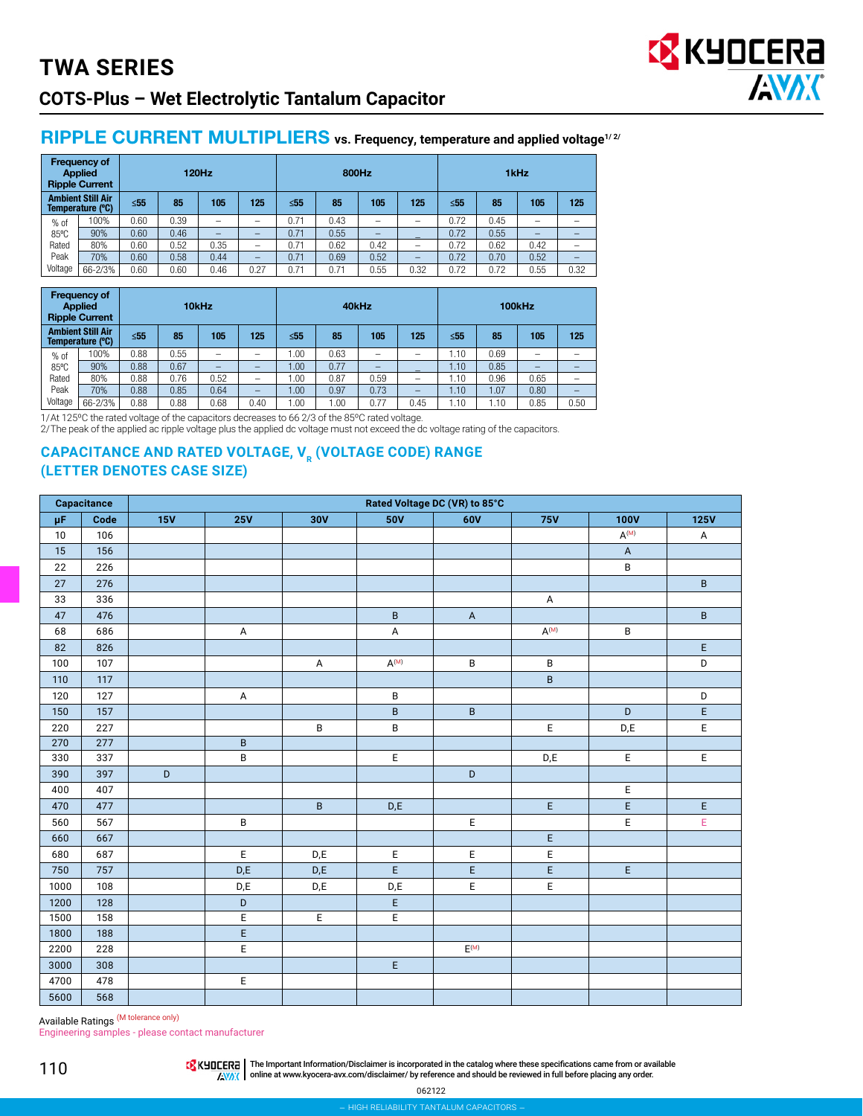# **TWA SERIES COTS-Plus – Wet Electrolytic Tantalum Capacitor**

#### RIPPLE CURRENT MULTIPLIERS vs. Frequency, temperature and applied voltage<sup>1/2/</sup>

| <b>Frequency of</b><br><b>Applied</b><br><b>120Hz</b><br><b>Ripple Current</b> |                                                                               |                              |      |      |           | 800Hz |      |      | 1kHz                     |      |      |                          |                          |
|--------------------------------------------------------------------------------|-------------------------------------------------------------------------------|------------------------------|------|------|-----------|-------|------|------|--------------------------|------|------|--------------------------|--------------------------|
|                                                                                | <b>Ambient Still Air</b><br>$\leq 55$<br>105<br>125<br>85<br>Temperature (°C) |                              |      |      | $\leq 55$ | 85    | 105  | 125  | $\leq 55$                | 85   | 105  | 125                      |                          |
| $%$ of                                                                         | 100%                                                                          | 0.60                         | 0.39 | -    | -         | 0.71  | 0.43 | -    | $\overline{\phantom{0}}$ | 0.72 | 0.45 | $\overline{\phantom{0}}$ | -                        |
| 85°C                                                                           | 90%                                                                           | 0.60                         | 0.46 |      | -         | 0.71  | 0.55 | -    |                          | 0.72 | 0.55 | -                        | -                        |
| Rated                                                                          | 80%                                                                           | 0.60                         | 0.52 | 0.35 | -         | 0.71  | 0.62 | 0.42 | $\qquad \qquad$          | 0.72 | 0.62 | 0.42                     |                          |
| Peak                                                                           | 70%                                                                           | 0.60                         | 0.58 | 0.44 | -         | 0.71  | 0.69 | 0.52 | $\qquad \qquad -$        | 0.72 | 0.70 | 0.52                     | $\overline{\phantom{0}}$ |
| Voltage                                                                        | 66-2/3%                                                                       | 0.60<br>0.60<br>0.46<br>0.27 |      |      |           | 0.71  | 0.71 | 0.55 | 0.32                     | 0.72 | 0.72 | 0.55                     | 0.32                     |

| <b>Frequency of</b><br><b>Applied</b><br>10kHz<br><b>Ripple Current</b> |                                              |           |      |      |      | 40kHz     |      |      | 100kHz                   |           |      |                          |      |
|-------------------------------------------------------------------------|----------------------------------------------|-----------|------|------|------|-----------|------|------|--------------------------|-----------|------|--------------------------|------|
|                                                                         | <b>Ambient Still Air</b><br>Temperature (°C) | $\leq 55$ | 85   | 105  | 125  | $\leq 55$ | 85   | 105  | 125                      | $\leq 55$ | 85   | 105                      | 125  |
| $%$ of                                                                  | 100%                                         | 0.88      | 0.55 | -    | -    | 00.1      | 0.63 | -    | -                        | 1.10      | 0.69 | $\overline{\phantom{0}}$ |      |
| 85°C                                                                    | 90%                                          | 0.88      | 0.67 | _    | -    | 00.1      | 0.77 | -    | $\overline{\phantom{a}}$ | 1.10      | 0.85 | -                        |      |
| Rated                                                                   | 80%                                          | 0.88      | 0.76 | 0.52 | -    | 00.1      | 0.87 | 0.59 | $\overline{\phantom{0}}$ | .10       | 0.96 | 0.65                     |      |
| Peak                                                                    | 70%                                          | 0.88      | 0.85 | 0.64 | -    | 00.1      | 0.97 | 0.73 | -                        | 1.10      | .07  | 0.80                     |      |
| Voltage                                                                 | 66-2/3%                                      | 0.88      | 0.88 | 0.68 | 0.40 | .00       | 1.00 | 0.77 | 0.45                     | 1.10      | .10  | 0.85                     | 0.50 |

1/At 125ºC the rated voltage of the capacitors decreases to 66 2/3 of the 85ºC rated voltage.

2/The peak of the applied ac ripple voltage plus the applied dc voltage must not exceed the dc voltage rating of the capacitors.

#### **CAPACITANCE AND RATED VOLTAGE, V<sub>R</sub> (VOLTAGE CODE) RANGE (LETTER DENOTES CASE SIZE)**

|         | Capacitance |     | Rated Voltage DC (VR) to 85°C |                         |                         |                             |                           |                           |                |  |  |  |  |
|---------|-------------|-----|-------------------------------|-------------------------|-------------------------|-----------------------------|---------------------------|---------------------------|----------------|--|--|--|--|
| $\mu$ F | Code        | 15V | <b>25V</b>                    | 30V                     | <b>50V</b>              | 60V                         | <b>75V</b>                | <b>100V</b>               | <b>125V</b>    |  |  |  |  |
| 10      | 106         |     |                               |                         |                         |                             |                           | $A^{(M)}$                 | A              |  |  |  |  |
| 15      | 156         |     |                               |                         |                         |                             |                           | $\boldsymbol{\mathsf{A}}$ |                |  |  |  |  |
| 22      | 226         |     |                               |                         |                         |                             |                           | B                         |                |  |  |  |  |
| 27      | 276         |     |                               |                         |                         |                             |                           |                           | $\sf B$        |  |  |  |  |
| 33      | 336         |     |                               |                         |                         |                             | $\boldsymbol{\mathsf{A}}$ |                           |                |  |  |  |  |
| 47      | 476         |     |                               |                         | $\sf B$                 | $\mathsf A$                 |                           |                           | $\sf B$        |  |  |  |  |
| 68      | 686         |     | A                             |                         | A                       |                             | $A^{(M)}$                 | B                         |                |  |  |  |  |
| 82      | 826         |     |                               |                         |                         |                             |                           |                           | E              |  |  |  |  |
| 100     | 107         |     |                               | $\mathsf{A}$            | $A^{(M)}$               | $\sf B$                     | B                         |                           | $\mathsf D$    |  |  |  |  |
| 110     | 117         |     |                               |                         |                         |                             | B                         |                           |                |  |  |  |  |
| 120     | 127         |     | $\mathsf A$                   |                         | B                       |                             |                           |                           | D              |  |  |  |  |
| 150     | 157         |     |                               |                         | $\sf{B}$                | $\sf B$                     |                           | $\mathsf D$               | $\mathsf E$    |  |  |  |  |
| 220     | 227         |     |                               | B                       | B                       |                             | E                         | D,E                       | $\mathsf E$    |  |  |  |  |
| 270     | 277         |     | $\sf B$                       |                         |                         |                             |                           |                           |                |  |  |  |  |
| 330     | 337         |     | $\overline{B}$                |                         | E                       |                             | D,E                       | E                         | E              |  |  |  |  |
| 390     | 397         | D   |                               |                         |                         | $\mathsf D$                 |                           |                           |                |  |  |  |  |
| 400     | 407         |     |                               |                         |                         |                             |                           | E                         |                |  |  |  |  |
| 470     | 477         |     |                               | B                       | D, E                    |                             | E                         | E                         | E              |  |  |  |  |
| 560     | 567         |     | $\sf B$                       |                         |                         | E                           |                           | $\overline{E}$            | $\overline{E}$ |  |  |  |  |
| 660     | 667         |     |                               |                         |                         |                             | E                         |                           |                |  |  |  |  |
| 680     | 687         |     | $\mathsf E$                   | D, E                    | E                       | E                           | E                         |                           |                |  |  |  |  |
| 750     | 757         |     | $D, E$                        | D, E                    | $\overline{\mathsf{E}}$ | E                           | E                         | E                         |                |  |  |  |  |
| 1000    | 108         |     | D,E                           | $\mathsf{D},\mathsf{E}$ | $\mathsf{D},\mathsf{E}$ | E                           | E                         |                           |                |  |  |  |  |
| 1200    | 128         |     | $\mathsf D$                   |                         | E                       |                             |                           |                           |                |  |  |  |  |
| 1500    | 158         |     | $\overline{E}$                | E                       | E                       |                             |                           |                           |                |  |  |  |  |
| 1800    | 188         |     | E                             |                         |                         |                             |                           |                           |                |  |  |  |  |
| 2200    | 228         |     | $\mathsf E$                   |                         |                         | $\mathsf{E}^{(\mathsf{M})}$ |                           |                           |                |  |  |  |  |
| 3000    | 308         |     |                               |                         | E                       |                             |                           |                           |                |  |  |  |  |
| 4700    | 478         |     | E                             |                         |                         |                             |                           |                           |                |  |  |  |  |
| 5600    | 568         |     |                               |                         |                         |                             |                           |                           |                |  |  |  |  |

Available Ratings<sup> (M tolerance only)</sup>

Engineering samples - please contact manufacturer

THE IMPO THE Important Information/Disclaimer is incorporated in the catalog where these specifications came from or available **AWAX** online at [www.kyocera-avx.com/disclaimer/](http://www.kyocera-avx.com/disclaimer/) by reference and should be reviewed in full before placing any order.

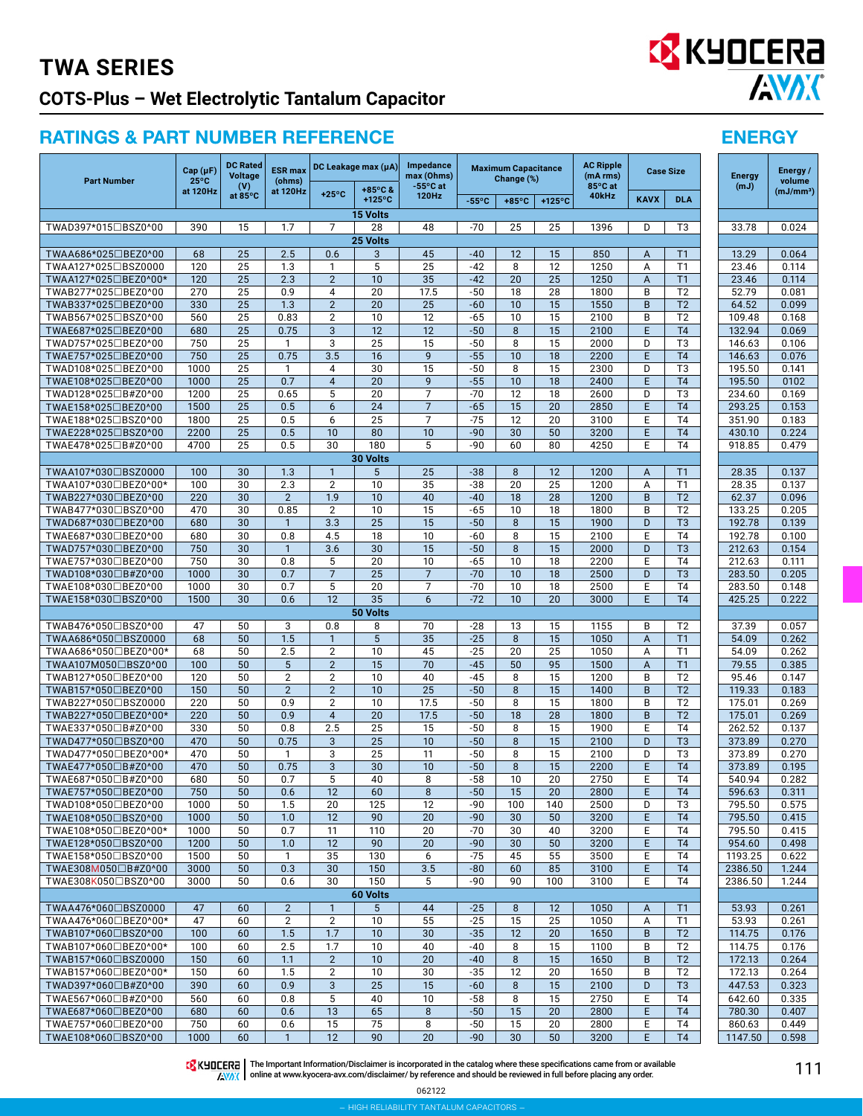## **TWA SERIES COTS-Plus – Wet Electrolytic Tantalum Capacitor**

### RATINGS & PART NUMBER REFERENCE ENERGY

| <b>Part Number</b>                          | Cap(pF)<br>$25^{\circ}$ C | <b>DC Rated</b><br><b>Voltage</b><br>(V) | <b>ESR</b> max<br>(ohms) |                                  | DC Leakage max (µA)                | Impedance<br>max (Ohms)<br>$-55^{\circ}$ C at |                 | <b>Maximum Capacitance</b><br>Change (%) |                       | <b>AC Ripple</b><br>(mA rms)<br>85°C at |             | <b>Case Size</b>                   | <b>Energy</b><br>(mJ) | Energy /<br>volume    |
|---------------------------------------------|---------------------------|------------------------------------------|--------------------------|----------------------------------|------------------------------------|-----------------------------------------------|-----------------|------------------------------------------|-----------------------|-----------------------------------------|-------------|------------------------------------|-----------------------|-----------------------|
|                                             | at 120Hz                  | at 85°C                                  | at 120Hz                 | $+25^{\circ}$ C                  | +85°C &<br>+125°C                  | 120Hz                                         | $-55^{\circ}$ C | $+85^{\circ}$ C                          | $+125^{\circ}$ C      | 40kHz                                   | <b>KAVX</b> | <b>DLA</b>                         |                       | (mJ/mm <sup>3</sup> ) |
|                                             |                           |                                          |                          |                                  | 15 Volts                           |                                               |                 |                                          |                       |                                         |             |                                    |                       |                       |
| TWAD397*015□BSZ0^00                         | 390                       | 15                                       | 1.7                      | $\overline{7}$                   | 28                                 | 48                                            | $-70$           | 25                                       | 25                    | 1396                                    | D           | T <sub>3</sub>                     | 33.78                 | 0.024                 |
| TWAA686*025□BEZ0^00                         | 68                        | 25                                       | 2.5                      | 0.6                              | 25 Volts<br>3                      | 45                                            | $-40$           | 12                                       | 15                    | 850                                     | A           | T1                                 | 13.29                 | 0.064                 |
| TWAA127*025□BSZ0000                         | 120                       | 25                                       | 1.3                      | $\mathbf{1}$                     | 5                                  | 25                                            | $-42$           | 8                                        | 12                    | 1250                                    | A           | T1                                 | 23.46                 | 0.114                 |
| TWAA127*025□BEZ0^00*                        | 120                       | 25                                       | 2.3                      | $\overline{2}$                   | 10                                 | 35                                            | $-42$           | 20                                       | 25                    | 1250                                    | A           | T1                                 | 23.46                 | 0.114                 |
| TWAB277*025□BEZ0^00                         | 270                       | 25                                       | 0.9                      | 4                                | 20                                 | 17.5                                          | $-50$           | 18                                       | 28                    | 1800                                    | B           | T <sub>2</sub>                     | 52.79                 | 0.081                 |
| TWAB337*025□BEZ0^00                         | 330                       | 25                                       | 1.3                      | $\overline{2}$                   | 20                                 | 25                                            | $-60$           | 10                                       | 15                    | 1550                                    | B           | T <sub>2</sub>                     | 64.52                 | 0.099                 |
| TWAB567*025□BSZ0^00<br>TWAE687*025□BEZ0^00  | 560<br>680                | 25<br>25                                 | 0.83<br>0.75             | $\overline{2}$<br>3              | 10<br>12                           | 12<br>12                                      | $-65$<br>$-50$  | 10<br>8                                  | 15<br>15              | 2100<br>2100                            | B<br>E      | T2<br>T <sub>4</sub>               | 109.48<br>132.94      | 0.168<br>0.069        |
| TWAD757*025□BEZ0^00                         | 750                       | 25                                       | 1                        | 3                                | 25                                 | 15                                            | $-50$           | 8                                        | 15                    | 2000                                    | D           | T3                                 | 146.63                | 0.106                 |
| TWAE757*025□BEZ0^00                         | 750                       | 25                                       | 0.75                     | 3.5                              | $\overline{16}$                    | 9                                             | $-55$           | 10                                       | 18                    | 2200                                    | E           | T <sub>4</sub>                     | 146.63                | 0.076                 |
| TWAD108*025□BEZ0^00                         | 1000                      | 25                                       | 1                        | 4                                | $\overline{30}$                    | 15                                            | $-50$           | 8                                        | 15                    | 2300                                    | D           | T <sub>3</sub>                     | 195.50                | 0.141                 |
| TWAE108*025□BEZ0^00                         | 1000                      | 25                                       | 0.7                      | $\overline{4}$                   | $\overline{20}$                    | 9                                             | $-55$           | 10                                       | 18                    | 2400                                    | E           | T <sub>4</sub>                     | 195.50                | 0102                  |
| TWAD128*025□B#Z0^00                         | 1200                      | 25                                       | 0.65                     | 5                                | $\overline{20}$<br>$\overline{24}$ | $\overline{7}$                                | $-70$           | 12                                       | 18                    | 2600                                    | D           | $\overline{T3}$                    | 234.60                | 0.169                 |
| TWAE158*025□BEZ0^00<br>TWAE188*025□BSZ0^00  | 1500<br>1800              | 25<br>25                                 | 0.5<br>0.5               | 6<br>6                           | $\overline{25}$                    | $\overline{7}$<br>$\overline{7}$              | $-65$<br>$-75$  | 15<br>12                                 | 20<br>20              | 2850<br>3100                            | E<br>E      | T <sub>4</sub><br>T <sub>4</sub>   | 293.25<br>351.90      | 0.153<br>0.183        |
| TWAE228*025□BSZ0^00                         | 2200                      | 25                                       | 0.5                      | 10                               | 80                                 | 10                                            | $-90$           | 30                                       | 50                    | 3200                                    | E           | T <sub>4</sub>                     | 430.10                | 0.224                 |
| TWAE478*025□B#Z0^00                         | 4700                      | 25                                       | 0.5                      | 30                               | 180                                | 5                                             | -90             | 60                                       | 80                    | 4250                                    | E           | T <sub>4</sub>                     | 918.85                | 0.479                 |
|                                             |                           |                                          |                          |                                  | 30 Volts                           |                                               |                 |                                          |                       |                                         |             |                                    |                       |                       |
| TWAA107*030□BSZ0000                         | 100                       | 30                                       | 1.3                      | 1                                | 5                                  | 25                                            | $-38$           | 8                                        | 12                    | 1200                                    | A           | T1                                 | 28.35                 | 0.137                 |
| TWAA107*030□BEZ0^00*                        | 100                       | 30                                       | 2.3                      | $\overline{2}$                   | 10                                 | 35                                            | $-38$           | 20                                       | 25                    | 1200                                    | A           | T1                                 | 28.35                 | 0.137                 |
| TWAB227*030□BEZ0^00<br>TWAB477*030□BSZ0^00  | 220<br>470                | 30<br>30                                 | $\overline{2}$<br>0.85   | 1.9<br>$\overline{2}$            | 10<br>10                           | 40<br>15                                      | $-40$<br>$-65$  | 18<br>10                                 | 28<br>18              | 1200<br>1800                            | B<br>B      | T <sub>2</sub><br>T <sub>2</sub>   | 62.37<br>133.25       | 0.096<br>0.205        |
| TWAD687*030□BEZ0^00                         | 680                       | 30                                       | $\mathbf{1}$             | 3.3                              | $\overline{25}$                    | $\overline{15}$                               | $-50$           | 8                                        | 15                    | 1900                                    | D           | T <sub>3</sub>                     | 192.78                | 0.139                 |
| TWAE687*030□BEZ0^00                         | 680                       | 30                                       | 0.8                      | 4.5                              | $\overline{18}$                    | 10                                            | $-60$           | 8                                        | 15                    | 2100                                    | E           | T <sub>4</sub>                     | 192.78                | 0.100                 |
| TWAD757*030□BEZ0^00                         | 750                       | $\overline{30}$                          | $\mathbf{1}$             | 3.6                              | 30                                 | 15                                            | $-50$           | 8                                        | 15                    | 2000                                    | D           | $\overline{13}$                    | 212.63                | 0.154                 |
| TWAE757*030□BEZ0^00                         | 750                       | 30                                       | 0.8                      | 5                                | $\overline{20}$                    | 10                                            | $-65$           | 10                                       | 18                    | 2200                                    | E           | T <sub>4</sub>                     | 212.63                | 0.111                 |
| TWAD108*030□B#Z0^00                         | 1000                      | 30                                       | 0.7                      | $\overline{7}$                   | $\overline{25}$                    | $\overline{7}$                                | $-70$           | 10                                       | 18                    | 2500                                    | D           | T <sub>3</sub>                     | 283.50                | 0.205                 |
| TWAE108*030□BEZ0^00<br>TWAE158*030□BSZ0^00  | 1000<br>1500              | 30<br>30                                 | 0.7<br>0.6               | $\overline{5}$<br>12             | $\overline{20}$<br>$\overline{35}$ | $\overline{7}$<br>6                           | $-70$<br>$-72$  | 10<br>10                                 | 18<br>20              | 2500<br>3000                            | Ε<br>E      | $\overline{14}$<br>T <sub>4</sub>  | 283.50<br>425.25      | 0.148<br>0.222        |
|                                             |                           |                                          |                          |                                  | 50 Volts                           |                                               |                 |                                          |                       |                                         |             |                                    |                       |                       |
| TWAB476*050□BSZ0^00                         | 47                        | 50                                       | 3                        | 0.8                              | 8                                  | 70                                            | $-28$           | 13                                       | 15                    | 1155                                    | B           | T2                                 | 37.39                 | 0.057                 |
| TWAA686*050□BSZ0000                         | 68                        | 50                                       | 1.5                      | $\mathbf{1}$                     | 5                                  | 35                                            | $-25$           | 8                                        | 15                    | 1050                                    | A           | T1                                 | 54.09                 | 0.262                 |
| TWAA686*050□BEZ0^00*                        | 68                        | 50                                       | 2.5                      | $\overline{2}$                   | 10                                 | 45                                            | $-25$           | 20                                       | 25                    | 1050                                    | A           | T1                                 | 54.09                 | 0.262                 |
| TWAA107M050□BSZ0^00                         | 100                       | 50                                       | 5                        | $\overline{2}$                   | 15                                 | 70                                            | $-45$           | 50                                       | 95                    | 1500                                    | A           | T1                                 | 79.55                 | 0.385                 |
| TWAB127*050□BEZ0^00<br>TWAB157*050□BEZ0^00  | 120<br>150                | 50<br>$\overline{50}$                    | 2<br>$\overline{2}$      | $\overline{2}$<br>$\overline{2}$ | $\overline{10}$<br>$\overline{10}$ | 40<br>$\overline{25}$                         | $-45$<br>$-50$  | 8<br>8                                   | 15<br>$\overline{15}$ | 1200<br>1400                            | B<br>B      | $\overline{12}$<br>$\overline{12}$ | 95.46<br>119.33       | 0.147<br>0.183        |
| TWAB227*050□BSZ0000                         | 220                       | 50                                       | 0.9                      | $\overline{2}$                   | 10                                 | 17.5                                          | $-50$           | 8                                        | $\overline{15}$       | 1800                                    | B           | T <sub>2</sub>                     | 175.01                | 0.269                 |
| TWAB227*050□BEZ0^00*                        | 220                       | 50                                       | 0.9                      | $\overline{4}$                   | $\overline{20}$                    | 17.5                                          | $-50$           | 18                                       | $\overline{28}$       | 1800                                    | B           | T <sub>2</sub>                     | 175.01                | 0.269                 |
| TWAE337*050□B#Z0^00                         | 330                       | 50                                       | 0.8                      | 2.5                              | $\overline{25}$                    | 15                                            | $-50$           | 8                                        | 15                    | 1900                                    | E           | $\overline{14}$                    | 262.52                | 0.137                 |
| TWAD477*050□BSZ0^00                         | 470                       | 50                                       | 0.75                     | 3                                | $\overline{25}$                    | 10                                            | $-50$           | 8                                        | 15                    | 2100                                    | D           | T <sub>3</sub>                     | 373.89                | 0.270                 |
| TWAD477*050□BEZ0^00*                        | 470                       | 50                                       | 1                        | 3                                | 25                                 | 11                                            | $-50$           | 8                                        | 15                    | 2100                                    | D           | T <sub>3</sub>                     | 373.89                | 0.270                 |
| TWAE477*050□B#Z0^00                         | 470<br>680                | 50<br>50                                 | 0.75<br>0.7              | 3<br>5                           | 30<br>40                           | 10<br>8                                       | $-50$<br>$-58$  | 8<br>10                                  | 15<br>20              | 2200<br>2750                            | E<br>F      | T <sub>4</sub><br>T <sub>4</sub>   | 373.89<br>540.94      | 0.195<br>0.282        |
| TWAE687*050□B#Z0^00<br>TWAE757*050□BEZ0^00  | 750                       | 50                                       | 0.6                      | 12                               | 60                                 | 8                                             | $-50$           | 15                                       | 20                    | 2800                                    | E           | <b>T4</b>                          | 596.63                | 0.311                 |
| TWAD108*050□BEZ0^00                         | 1000                      | 50                                       | 1.5                      | 20                               | 125                                | 12                                            | $-90$           | 100                                      | 140                   | 2500                                    | D           | T3                                 | 795.50                | 0.575                 |
| TWAE108*050□BSZ0^00                         | 1000                      | 50                                       | 1.0                      | 12                               | 90                                 | 20                                            | $-90$           | 30                                       | 50                    | 3200                                    | E           | <b>T4</b>                          | 795.50                | 0.415                 |
| TWAE108*050□BEZ0^00*                        | 1000                      | 50                                       | 0.7                      | 11                               | 110                                | 20                                            | $-70$           | 30                                       | 40                    | 3200                                    | Е           | T <sub>4</sub>                     | 795.50                | 0.415                 |
| TWAE128*050□BSZ0^00                         | 1200                      | 50                                       | 1.0                      | 12                               | 90                                 | 20                                            | $-90$           | 30                                       | 50                    | 3200                                    | E           | T <sub>4</sub>                     | 954.60                | 0.498                 |
| TWAE158*050□BSZ0^00                         | 1500                      | 50                                       | $\mathbf{1}$             | 35                               | 130                                | 6                                             | $-75$           | 45                                       | 55                    | 3500                                    | Е           | T <sub>4</sub>                     | 1193.25               | 0.622                 |
| TWAE308M050□B#Z0^00<br>TWAE308K050□BSZ0^00  | 3000<br>3000              | 50<br>50                                 | 0.3<br>0.6               | 30<br>30                         | 150<br>150                         | 3.5<br>5                                      | $-80$<br>$-90$  | 60<br>90                                 | 85<br>100             | 3100<br>3100                            | E.<br>Е     | <b>T4</b><br>T <sub>4</sub>        | 2386.50<br>2386.50    | 1.244<br>1.244        |
|                                             |                           |                                          |                          |                                  | 60 Volts                           |                                               |                 |                                          |                       |                                         |             |                                    |                       |                       |
| TWAA476*060□BSZ0000                         | 47                        | 60                                       | $\overline{2}$           | $\mathbf{1}$                     | 5                                  | 44                                            | $-25$           | 8                                        | 12                    | 1050                                    | A           | T1                                 | 53.93                 | 0.261                 |
| TWAA476*060□BEZ0^00*                        | 47                        | 60                                       | 2                        | $\mathbf{2}$                     | 10                                 | 55                                            | $-25$           | 15                                       | 25                    | 1050                                    | Α           | T1                                 | 53.93                 | 0.261                 |
| TWAB107*060□BSZ0^00                         | 100                       | 60                                       | 1.5                      | 1.7                              | 10                                 | 30                                            | $-35$           | 12                                       | 20                    | 1650                                    | B           | T <sub>2</sub>                     | 114.75                | 0.176                 |
| TWAB107*060□BEZ0^00*                        | 100                       | 60                                       | 2.5                      | 1.7                              | 10                                 | 40                                            | $-40$           | 8                                        | 15                    | 1100                                    | B           | T <sub>2</sub>                     | 114.75                | 0.176                 |
| TWAB157*060□BSZ0000                         | 150                       | 60                                       | 1.1                      | $\overline{2}$                   | 10                                 | 20                                            | $-40$           | 8                                        | 15                    | 1650                                    | B           | T <sub>2</sub>                     | 172.13                | 0.264                 |
| TWAB157*060□BEZ0^00*<br>TWAD397*060□B#Z0^00 | 150<br>390                | 60<br>60                                 | 1.5<br>0.9               | $\overline{2}$<br>3              | 10<br>25                           | 30<br>15                                      | $-35$<br>$-60$  | 12<br>8                                  | 20<br>15              | 1650<br>2100                            | B<br>D      | T2<br>T <sub>3</sub>               | 172.13<br>447.53      | 0.264<br>0.323        |
| TWAE567*060□B#Z0^00                         | 560                       | 60                                       | 0.8                      | 5                                | 40                                 | 10                                            | $-58$           | 8                                        | 15                    | 2750                                    | E           | T <sub>4</sub>                     | 642.60                | 0.335                 |
| TWAE687*060□BEZ0^00                         | 680                       | 60                                       | 0.6                      | 13                               | 65                                 | 8                                             | $-50$           | 15                                       | 20                    | 2800                                    | E.          | T <sub>4</sub>                     | 780.30                | 0.407                 |
| TWAE757*060□BEZ0^00                         | 750                       | 60                                       | 0.6                      | 15                               | 75                                 | 8                                             | $-50$           | 15                                       | 20                    | 2800                                    | Е           | T4                                 | 860.63                | 0.449                 |
| TWAE108*060□BSZ0^00                         | 1000                      | 60                                       | $\mathbf{1}$             | 12                               | 90                                 | 20                                            | $-90$           | 30                                       | 50                    | 3200                                    | E.          | T <sub>4</sub>                     | 1147.50               | 0.598                 |

| 918.85              | 0.479 |
|---------------------|-------|
|                     |       |
| 28.35               | 0.137 |
| 28.35               | 0.137 |
| 62.37               | 0.096 |
| 133.25              | 0.205 |
| 192.78              | 0.139 |
| 192.78              | 0.100 |
| 212.63              | 0.154 |
| 212.63              | 0.111 |
| 283.50              | 0.205 |
| 283.50              | 0.148 |
| 425.25              | 0.222 |
|                     |       |
| 37.39               | 0.057 |
| 54.09               | 0.262 |
| 54.09               | 0.262 |
| 79.55               | 0.385 |
| 95.46               | 0.147 |
| 119.33              | 0.183 |
| $\overline{175.01}$ | 0.269 |
| 175.01              | 0.269 |
| 262.52              | 0.137 |
| 373.89              | 0.270 |
| 373.89              | 0.270 |
| 373.89              | 0.195 |
| 540.94              | 0.282 |
| 596.63              | 0.311 |
| 795.50              | 0.575 |
| 795.50              | 0.415 |
| 795.50              | 0.415 |
| 954.60              | 0.498 |
| 1193.25             | 0.622 |
| 2386.50             | 1.244 |
| 2386.50             | 1.244 |
|                     |       |
| 53.93               | 0.261 |
| 53.93               | 0.261 |
| 114.75              | 0.176 |
| 114.75              | 0.176 |
| 172.13              | 0.264 |
| 172.13              | 0.264 |
| 447.53              | 0.323 |
| 642.60              | 0.335 |
| 780.30              | 0.407 |

TE KUDEERE | The Important Information/Disclaimer is incorporated in the catalog where these specifications came from or available **AWAX** online at [www.kyocera-avx.com/disclaimer/](http://www.kyocera-avx.com/disclaimer/) by reference and should be reviewed in full before placing any order.

– high reliability tantalum capacitors –



# **EX KYOCERA ANDK**